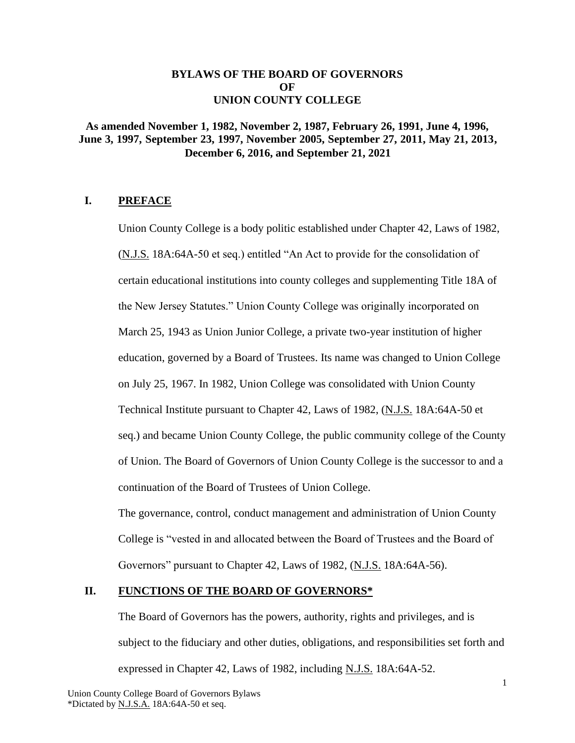## **BYLAWS OF THE BOARD OF GOVERNORS OF UNION COUNTY COLLEGE**

# **As amended November 1, 1982, November 2, 1987, February 26, 1991, June 4, 1996, June 3, 1997, September 23, 1997, November 2005, September 27, 2011, May 21, 2013, December 6, 2016, and September 21, 2021**

# **I. PREFACE**

Union County College is a body politic established under Chapter 42, Laws of 1982, (N.J.S. 18A:64A-50 et seq.) entitled "An Act to provide for the consolidation of certain educational institutions into county colleges and supplementing Title 18A of the New Jersey Statutes." Union County College was originally incorporated on March 25, 1943 as Union Junior College, a private two-year institution of higher education, governed by a Board of Trustees. Its name was changed to Union College on July 25, 1967. In 1982, Union College was consolidated with Union County Technical Institute pursuant to Chapter 42, Laws of 1982, (N.J.S. 18A:64A-50 et seq.) and became Union County College, the public community college of the County of Union. The Board of Governors of Union County College is the successor to and a continuation of the Board of Trustees of Union College.

The governance, control, conduct management and administration of Union County College is "vested in and allocated between the Board of Trustees and the Board of Governors" pursuant to Chapter 42, Laws of 1982, (N.J.S. 18A:64A-56).

# **II. FUNCTIONS OF THE BOARD OF GOVERNORS\***

The Board of Governors has the powers, authority, rights and privileges, and is subject to the fiduciary and other duties, obligations, and responsibilities set forth and expressed in Chapter 42, Laws of 1982, including N.J.S. 18A:64A-52.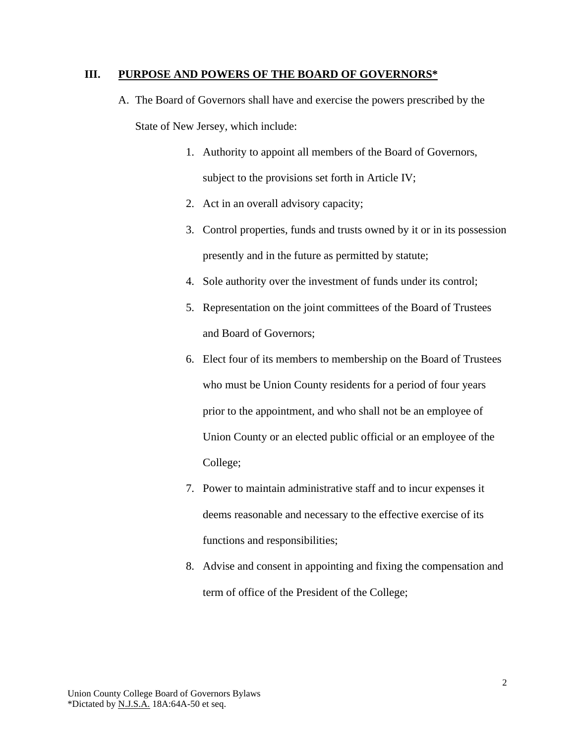#### **III. PURPOSE AND POWERS OF THE BOARD OF GOVERNORS\***

- A. The Board of Governors shall have and exercise the powers prescribed by the State of New Jersey, which include:
	- 1. Authority to appoint all members of the Board of Governors, subject to the provisions set forth in Article IV;
	- 2. Act in an overall advisory capacity;
	- 3. Control properties, funds and trusts owned by it or in its possession presently and in the future as permitted by statute;
	- 4. Sole authority over the investment of funds under its control;
	- 5. Representation on the joint committees of the Board of Trustees and Board of Governors;
	- 6. Elect four of its members to membership on the Board of Trustees who must be Union County residents for a period of four years prior to the appointment, and who shall not be an employee of Union County or an elected public official or an employee of the College;
	- 7. Power to maintain administrative staff and to incur expenses it deems reasonable and necessary to the effective exercise of its functions and responsibilities;
	- 8. Advise and consent in appointing and fixing the compensation and term of office of the President of the College;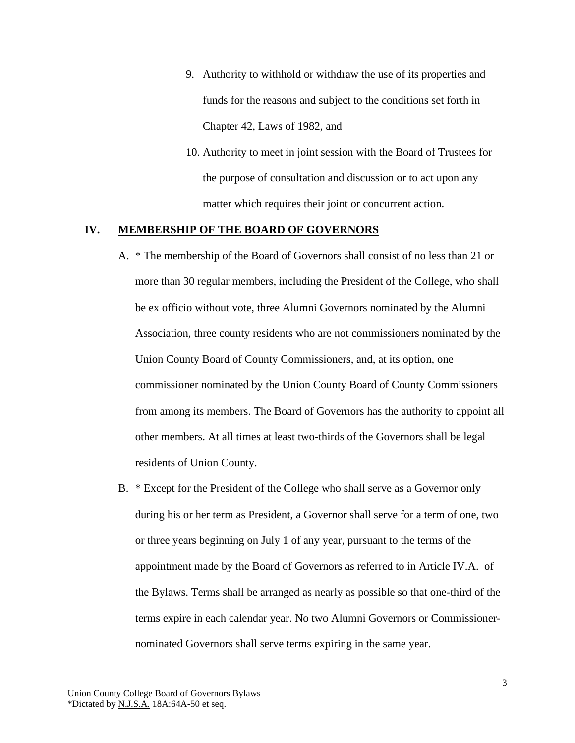- 9. Authority to withhold or withdraw the use of its properties and funds for the reasons and subject to the conditions set forth in Chapter 42, Laws of 1982, and
- 10. Authority to meet in joint session with the Board of Trustees for the purpose of consultation and discussion or to act upon any matter which requires their joint or concurrent action.

## **IV. MEMBERSHIP OF THE BOARD OF GOVERNORS**

- A. \* The membership of the Board of Governors shall consist of no less than 21 or more than 30 regular members, including the President of the College, who shall be ex officio without vote, three Alumni Governors nominated by the Alumni Association, three county residents who are not commissioners nominated by the Union County Board of County Commissioners, and, at its option, one commissioner nominated by the Union County Board of County Commissioners from among its members. The Board of Governors has the authority to appoint all other members. At all times at least two-thirds of the Governors shall be legal residents of Union County.
- B. \* Except for the President of the College who shall serve as a Governor only during his or her term as President, a Governor shall serve for a term of one, two or three years beginning on July 1 of any year, pursuant to the terms of the appointment made by the Board of Governors as referred to in Article IV.A. of the Bylaws. Terms shall be arranged as nearly as possible so that one-third of the terms expire in each calendar year. No two Alumni Governors or Commissionernominated Governors shall serve terms expiring in the same year.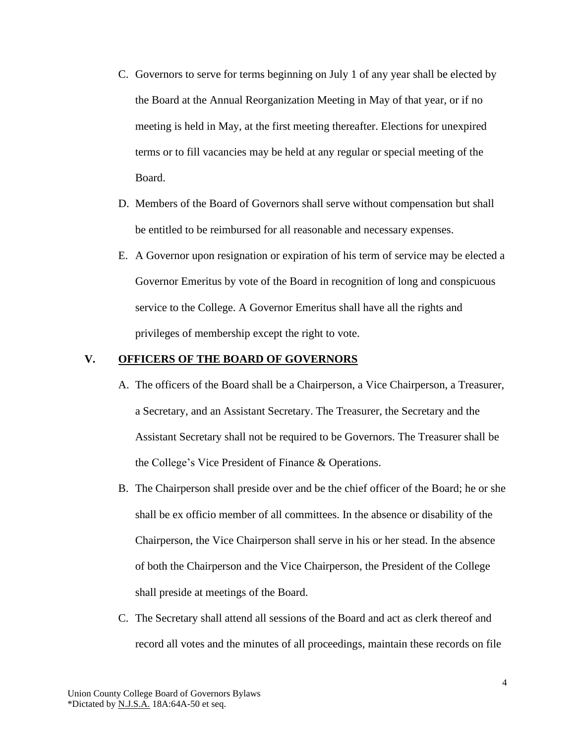- C. Governors to serve for terms beginning on July 1 of any year shall be elected by the Board at the Annual Reorganization Meeting in May of that year, or if no meeting is held in May, at the first meeting thereafter. Elections for unexpired terms or to fill vacancies may be held at any regular or special meeting of the Board.
- D. Members of the Board of Governors shall serve without compensation but shall be entitled to be reimbursed for all reasonable and necessary expenses.
- E. A Governor upon resignation or expiration of his term of service may be elected a Governor Emeritus by vote of the Board in recognition of long and conspicuous service to the College. A Governor Emeritus shall have all the rights and privileges of membership except the right to vote.

## **V. OFFICERS OF THE BOARD OF GOVERNORS**

- A. The officers of the Board shall be a Chairperson, a Vice Chairperson, a Treasurer, a Secretary, and an Assistant Secretary. The Treasurer, the Secretary and the Assistant Secretary shall not be required to be Governors. The Treasurer shall be the College's Vice President of Finance & Operations.
- B. The Chairperson shall preside over and be the chief officer of the Board; he or she shall be ex officio member of all committees. In the absence or disability of the Chairperson, the Vice Chairperson shall serve in his or her stead. In the absence of both the Chairperson and the Vice Chairperson, the President of the College shall preside at meetings of the Board.
- C. The Secretary shall attend all sessions of the Board and act as clerk thereof and record all votes and the minutes of all proceedings, maintain these records on file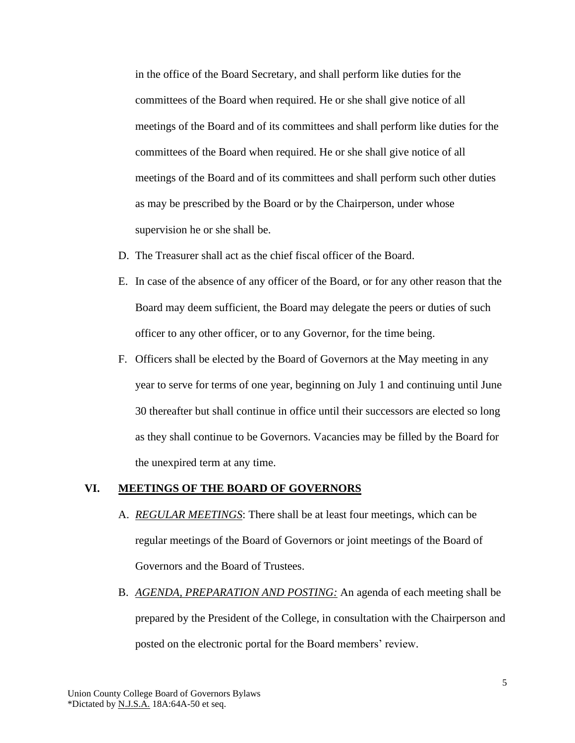in the office of the Board Secretary, and shall perform like duties for the committees of the Board when required. He or she shall give notice of all meetings of the Board and of its committees and shall perform like duties for the committees of the Board when required. He or she shall give notice of all meetings of the Board and of its committees and shall perform such other duties as may be prescribed by the Board or by the Chairperson, under whose supervision he or she shall be.

- D. The Treasurer shall act as the chief fiscal officer of the Board.
- E. In case of the absence of any officer of the Board, or for any other reason that the Board may deem sufficient, the Board may delegate the peers or duties of such officer to any other officer, or to any Governor, for the time being.
- F. Officers shall be elected by the Board of Governors at the May meeting in any year to serve for terms of one year, beginning on July 1 and continuing until June 30 thereafter but shall continue in office until their successors are elected so long as they shall continue to be Governors. Vacancies may be filled by the Board for the unexpired term at any time.

#### **VI. MEETINGS OF THE BOARD OF GOVERNORS**

- A. *REGULAR MEETINGS*: There shall be at least four meetings, which can be regular meetings of the Board of Governors or joint meetings of the Board of Governors and the Board of Trustees.
- B. *AGENDA, PREPARATION AND POSTING:* An agenda of each meeting shall be prepared by the President of the College, in consultation with the Chairperson and posted on the electronic portal for the Board members' review.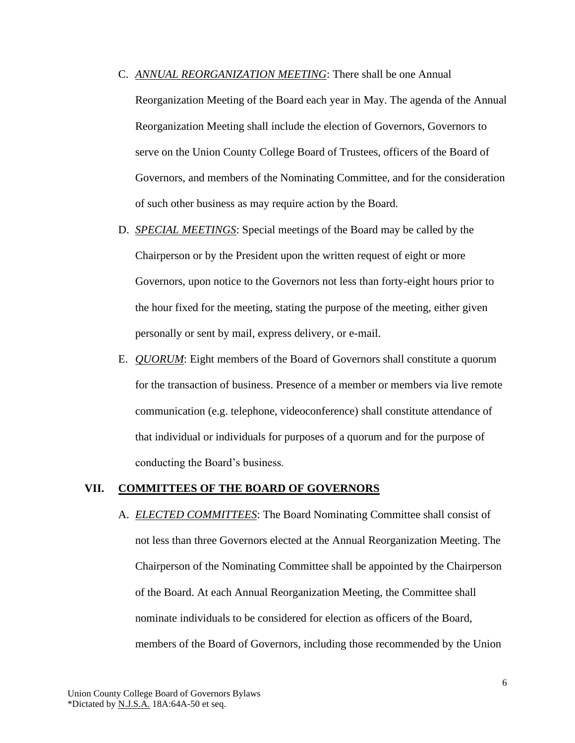- C. *ANNUAL REORGANIZATION MEETING*: There shall be one Annual Reorganization Meeting of the Board each year in May. The agenda of the Annual Reorganization Meeting shall include the election of Governors, Governors to serve on the Union County College Board of Trustees, officers of the Board of Governors, and members of the Nominating Committee, and for the consideration of such other business as may require action by the Board.
- D. *SPECIAL MEETINGS*: Special meetings of the Board may be called by the Chairperson or by the President upon the written request of eight or more Governors, upon notice to the Governors not less than forty-eight hours prior to the hour fixed for the meeting, stating the purpose of the meeting, either given personally or sent by mail, express delivery, or e-mail.
- E. *QUORUM*: Eight members of the Board of Governors shall constitute a quorum for the transaction of business. Presence of a member or members via live remote communication (e.g. telephone, videoconference) shall constitute attendance of that individual or individuals for purposes of a quorum and for the purpose of conducting the Board's business.

### **VII. COMMITTEES OF THE BOARD OF GOVERNORS**

A. *ELECTED COMMITTEES*: The Board Nominating Committee shall consist of not less than three Governors elected at the Annual Reorganization Meeting. The Chairperson of the Nominating Committee shall be appointed by the Chairperson of the Board. At each Annual Reorganization Meeting, the Committee shall nominate individuals to be considered for election as officers of the Board, members of the Board of Governors, including those recommended by the Union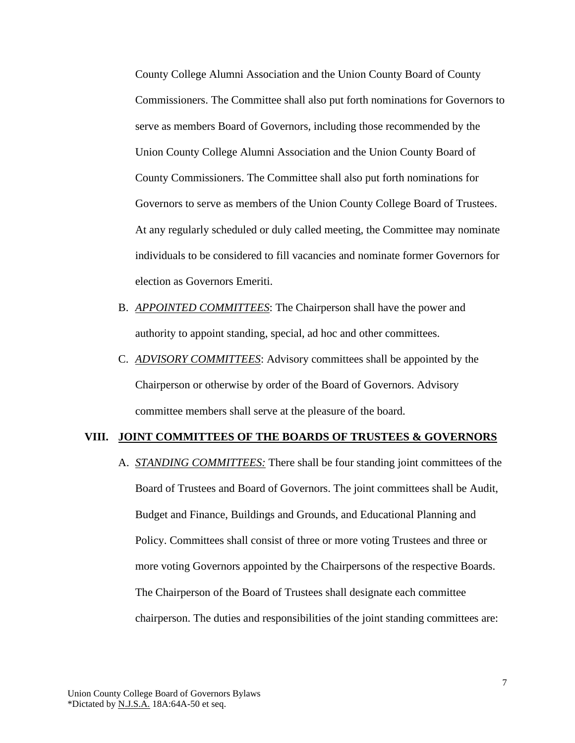County College Alumni Association and the Union County Board of County Commissioners. The Committee shall also put forth nominations for Governors to serve as members Board of Governors, including those recommended by the Union County College Alumni Association and the Union County Board of County Commissioners. The Committee shall also put forth nominations for Governors to serve as members of the Union County College Board of Trustees. At any regularly scheduled or duly called meeting, the Committee may nominate individuals to be considered to fill vacancies and nominate former Governors for election as Governors Emeriti.

- B. *APPOINTED COMMITTEES*: The Chairperson shall have the power and authority to appoint standing, special, ad hoc and other committees.
- C. *ADVISORY COMMITTEES*: Advisory committees shall be appointed by the Chairperson or otherwise by order of the Board of Governors. Advisory committee members shall serve at the pleasure of the board.

## **VIII. JOINT COMMITTEES OF THE BOARDS OF TRUSTEES & GOVERNORS**

A. *STANDING COMMITTEES:* There shall be four standing joint committees of the Board of Trustees and Board of Governors. The joint committees shall be Audit, Budget and Finance, Buildings and Grounds, and Educational Planning and Policy. Committees shall consist of three or more voting Trustees and three or more voting Governors appointed by the Chairpersons of the respective Boards. The Chairperson of the Board of Trustees shall designate each committee chairperson. The duties and responsibilities of the joint standing committees are: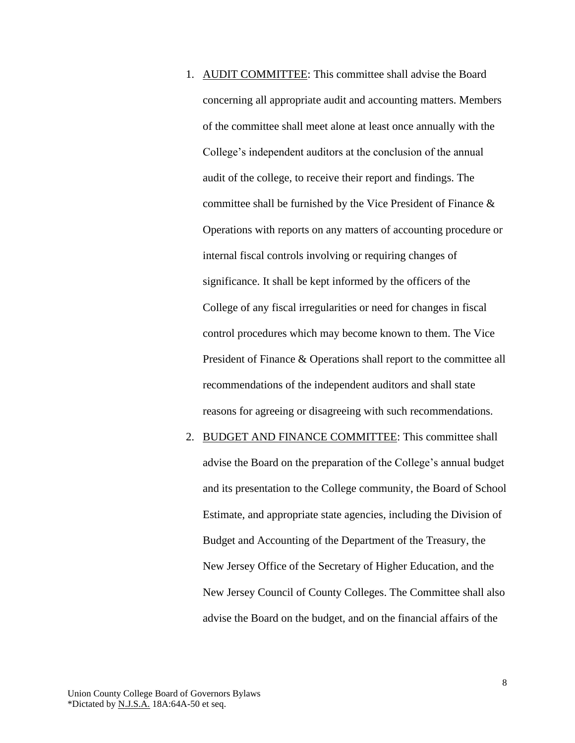- 1. AUDIT COMMITTEE: This committee shall advise the Board concerning all appropriate audit and accounting matters. Members of the committee shall meet alone at least once annually with the College's independent auditors at the conclusion of the annual audit of the college, to receive their report and findings. The committee shall be furnished by the Vice President of Finance & Operations with reports on any matters of accounting procedure or internal fiscal controls involving or requiring changes of significance. It shall be kept informed by the officers of the College of any fiscal irregularities or need for changes in fiscal control procedures which may become known to them. The Vice President of Finance & Operations shall report to the committee all recommendations of the independent auditors and shall state reasons for agreeing or disagreeing with such recommendations.
- 2. BUDGET AND FINANCE COMMITTEE: This committee shall advise the Board on the preparation of the College's annual budget and its presentation to the College community, the Board of School Estimate, and appropriate state agencies, including the Division of Budget and Accounting of the Department of the Treasury, the New Jersey Office of the Secretary of Higher Education, and the New Jersey Council of County Colleges. The Committee shall also advise the Board on the budget, and on the financial affairs of the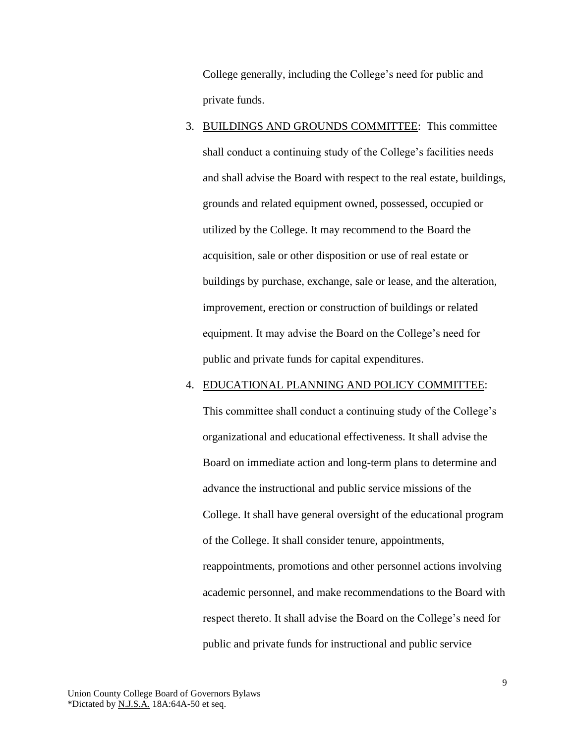College generally, including the College's need for public and private funds.

3. BUILDINGS AND GROUNDS COMMITTEE: This committee shall conduct a continuing study of the College's facilities needs and shall advise the Board with respect to the real estate, buildings, grounds and related equipment owned, possessed, occupied or utilized by the College. It may recommend to the Board the acquisition, sale or other disposition or use of real estate or buildings by purchase, exchange, sale or lease, and the alteration, improvement, erection or construction of buildings or related equipment. It may advise the Board on the College's need for public and private funds for capital expenditures.

## 4. EDUCATIONAL PLANNING AND POLICY COMMITTEE:

This committee shall conduct a continuing study of the College's organizational and educational effectiveness. It shall advise the Board on immediate action and long-term plans to determine and advance the instructional and public service missions of the College. It shall have general oversight of the educational program of the College. It shall consider tenure, appointments, reappointments, promotions and other personnel actions involving academic personnel, and make recommendations to the Board with respect thereto. It shall advise the Board on the College's need for public and private funds for instructional and public service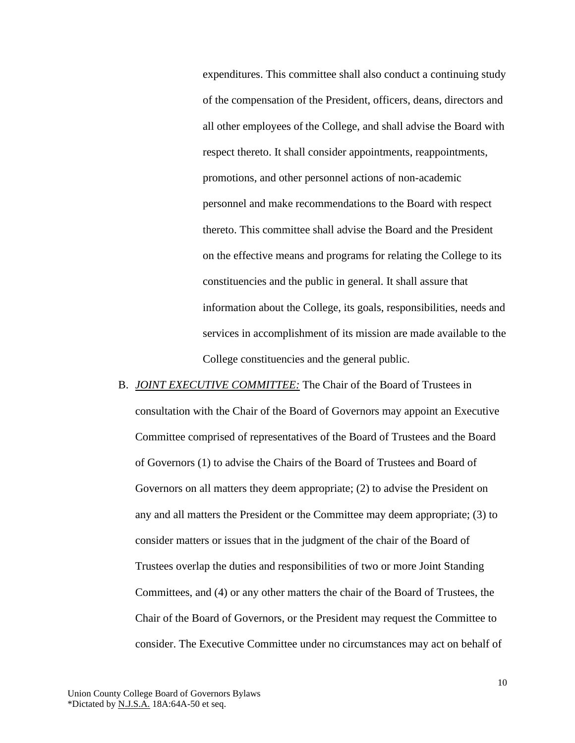expenditures. This committee shall also conduct a continuing study of the compensation of the President, officers, deans, directors and all other employees of the College, and shall advise the Board with respect thereto. It shall consider appointments, reappointments, promotions, and other personnel actions of non-academic personnel and make recommendations to the Board with respect thereto. This committee shall advise the Board and the President on the effective means and programs for relating the College to its constituencies and the public in general. It shall assure that information about the College, its goals, responsibilities, needs and services in accomplishment of its mission are made available to the College constituencies and the general public.

B. *JOINT EXECUTIVE COMMITTEE:* The Chair of the Board of Trustees in consultation with the Chair of the Board of Governors may appoint an Executive Committee comprised of representatives of the Board of Trustees and the Board of Governors (1) to advise the Chairs of the Board of Trustees and Board of Governors on all matters they deem appropriate; (2) to advise the President on any and all matters the President or the Committee may deem appropriate; (3) to consider matters or issues that in the judgment of the chair of the Board of Trustees overlap the duties and responsibilities of two or more Joint Standing Committees, and (4) or any other matters the chair of the Board of Trustees, the Chair of the Board of Governors, or the President may request the Committee to consider. The Executive Committee under no circumstances may act on behalf of